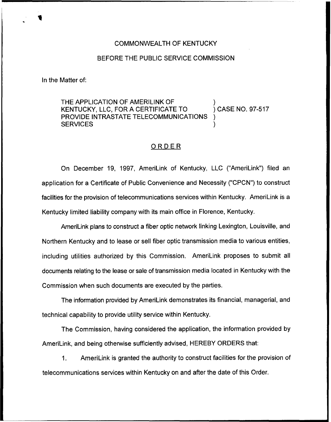## COMMONWEALTH OF KENTUCKY

## BEFORE THE PUBLIC SERVICE COMMISSION

In the Matter of:

THE APPLICATION OF AMERILINK OF  $\overline{ }$  ) case no. 97-517 KENTUCKY, LLC, FOR A CERTIFICATE TO. PROVIDE INTRASTATE TELECOMMUNICATIONS **SERVICES** 

## ORDER

On December 19, 1997, AmeriLink of Kentucky, LLC ("AmeriLink") filed an application for a Certificate of Public Convenience and Necessity ("CPCN") to construct facilities for the provision of telecommunications services within Kentucky. AmeriLink is a Kentucky limited liability company with its main office in Florence, Kentucky.

AmeriLink plans to construct a fiber optic network linking Lexington, Louisville, and Northern Kentucky and to lease or sell fiber optic transmission media to various entities, including utilities authorized by this Commission. AmeriLink proposes to submit all documents relating to the lease or sale of transmission media located in Kentucky with the Commission when such documents are executed by the parties.

The information provided by AmeriLink demonstrates its financial, managerial, and technical capability to provide utility service within Kentucky.

The Commission, having considered the application, the information provided by AmeriLink, and being otherwise sufficiently advised, HEREBY ORDERS that:

1. AmeriLink is granted the authority to construct facilities for the provision of telecommunications services within Kentucky on and after the date of this Order.